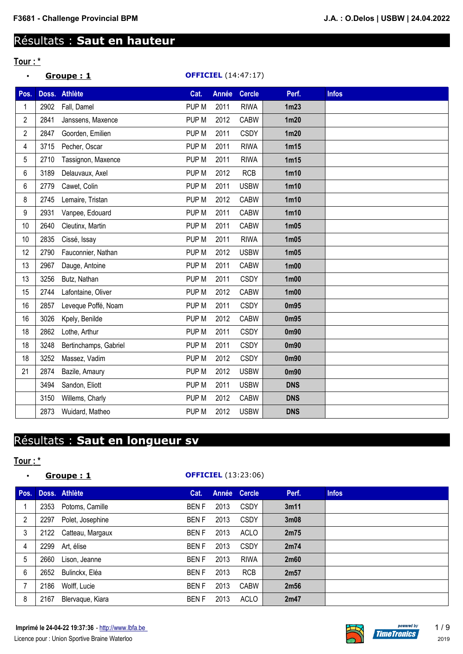## Résultats : **Saut en hauteur**

## **Tour : \***

| $\bullet$      |      | Groupe: 1             |                  |              | <b>OFFICIEL</b> (14:47:17) |                   |              |
|----------------|------|-----------------------|------------------|--------------|----------------------------|-------------------|--------------|
| Pos.           |      | Doss. Athlète         | Cat.             | <b>Année</b> | <b>Cercle</b>              | Perf.             | <b>Infos</b> |
| 1              | 2902 | Fall, Damel           | PUP M            | 2011         | <b>RIWA</b>                | 1m23              |              |
| $\overline{2}$ | 2841 | Janssens, Maxence     | PUP <sub>M</sub> | 2012         | <b>CABW</b>                | 1m20              |              |
| 2              | 2847 | Goorden, Emilien      | PUP M            | 2011         | <b>CSDY</b>                | 1m20              |              |
| 4              | 3715 | Pecher, Oscar         | PUP <sub>M</sub> | 2011         | <b>RIWA</b>                | 1m15              |              |
| 5              | 2710 | Tassignon, Maxence    | PUP M            | 2011         | <b>RIWA</b>                | 1m15              |              |
| 6              | 3189 | Delauvaux, Axel       | PUP M            | 2012         | <b>RCB</b>                 | 1 <sub>m10</sub>  |              |
| 6              | 2779 | Cawet, Colin          | PUP M            | 2011         | <b>USBW</b>                | 1 <sub>m10</sub>  |              |
| 8              | 2745 | Lemaire, Tristan      | PUP M            | 2012         | CABW                       | 1 <sub>m10</sub>  |              |
| 9              | 2931 | Vanpee, Edouard       | PUP <sub>M</sub> | 2011         | <b>CABW</b>                | 1 <sub>m10</sub>  |              |
| 10             | 2640 | Cleutinx, Martin      | PUP M            | 2011         | CABW                       | 1 <sub>m05</sub>  |              |
| 10             | 2835 | Cissé, Issay          | PUP M            | 2011         | <b>RIWA</b>                | 1 <sub>m05</sub>  |              |
| 12             | 2790 | Fauconnier, Nathan    | PUP <sub>M</sub> | 2012         | <b>USBW</b>                | 1 <sub>m05</sub>  |              |
| 13             | 2967 | Dauge, Antoine        | PUP M            | 2011         | CABW                       | 1 <sub>m</sub> 00 |              |
| 13             | 3256 | Butz, Nathan          | PUP M            | 2011         | <b>CSDY</b>                | 1 <sub>m</sub> 00 |              |
| 15             | 2744 | Lafontaine, Oliver    | PUP M            | 2012         | <b>CABW</b>                | 1 <sub>m</sub> 00 |              |
| 16             | 2857 | Leveque Poffé, Noam   | PUP M            | 2011         | <b>CSDY</b>                | 0m95              |              |
| 16             | 3026 | Kpely, Benilde        | PUP M            | 2012         | CABW                       | 0m95              |              |
| 18             | 2862 | Lothe, Arthur         | PUP M            | 2011         | <b>CSDY</b>                | 0 <sub>m90</sub>  |              |
| 18             | 3248 | Bertinchamps, Gabriel | PUP <sub>M</sub> | 2011         | <b>CSDY</b>                | 0 <sub>m90</sub>  |              |
| 18             | 3252 | Massez, Vadim         | PUP <sub>M</sub> | 2012         | <b>CSDY</b>                | 0 <sub>m90</sub>  |              |
| 21             | 2874 | Bazile, Amaury        | PUP <sub>M</sub> | 2012         | <b>USBW</b>                | 0 <sub>m90</sub>  |              |
|                | 3494 | Sandon, Eliott        | PUP M            | 2011         | <b>USBW</b>                | <b>DNS</b>        |              |
|                | 3150 | Willems, Charly       | PUP M            | 2012         | <b>CABW</b>                | <b>DNS</b>        |              |
|                | 2873 | Wuidard, Matheo       | PUP <sub>M</sub> | 2012         | <b>USBW</b>                | <b>DNS</b>        |              |

# Résultats : **Saut en longueur sv**

### **Tour : \***

### • **Groupe : 1 OFFICIEL** (13:23:06)

| Pos. |      | Doss. Athlète         | Cat.        |      | Année Cercle | Perf. | <b>Infos</b> |
|------|------|-----------------------|-------------|------|--------------|-------|--------------|
|      | 2353 | Potoms, Camille       | <b>BENF</b> | 2013 | <b>CSDY</b>  | 3m11  |              |
| 2    | 2297 | Polet, Josephine      | <b>BENF</b> | 2013 | <b>CSDY</b>  | 3m08  |              |
| 3    |      | 2122 Catteau, Margaux | <b>BENF</b> | 2013 | ACLO         | 2m75  |              |
| 4    | 2299 | Art, élise            | <b>BENF</b> | 2013 | <b>CSDY</b>  | 2m74  |              |
| 5    | 2660 | Lison, Jeanne         | <b>BENF</b> | 2013 | <b>RIWA</b>  | 2m60  |              |
| 6    | 2652 | Bulinckx, Eléa        | <b>BENF</b> | 2013 | <b>RCB</b>   | 2m57  |              |
|      | 2186 | Wolff, Lucie          | <b>BENF</b> | 2013 | <b>CABW</b>  | 2m56  |              |
| 8    | 2167 | Blervaque, Kiara      | <b>BENF</b> | 2013 | ACLO         | 2m47  |              |

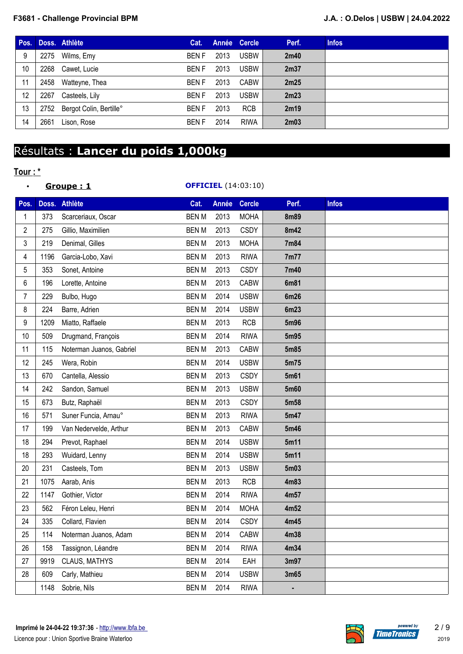#### **F3681 - Challenge Provincial BPM J.A. : O.Delos | USBW | 24.04.2022**

| Pos. |      | Doss. Athlète           | Cat.         |      | Année Cercle | Perf. | <b>Infos</b> |
|------|------|-------------------------|--------------|------|--------------|-------|--------------|
| 9    | 2275 | Wilms, Emy              | BEN F        | 2013 | <b>USBW</b>  | 2m40  |              |
| 10   | 2268 | Cawet, Lucie            | BEN F        | 2013 | <b>USBW</b>  | 2m37  |              |
| 11   | 2458 | Watteyne, Thea          | <b>BENF</b>  | 2013 | CABW         | 2m25  |              |
| 12   | 2267 | Casteels, Lily          | BEN F        | 2013 | <b>USBW</b>  | 2m23  |              |
| 13   | 2752 | Bergot Colin, Bertille° | BEN F        | 2013 | <b>RCB</b>   | 2m19  |              |
| 14   | 2661 | Lison, Rose             | <b>BEN F</b> | 2014 | <b>RIWA</b>  | 2m03  |              |

# Résultats : **Lancer du poids 1,000kg**

### **Tour : \***

#### • **Groupe : 1 OFFICIEL** (14:03:10)

| Pos.           | Doss. | <b>Athlète</b>           | Cat.         | Année | <b>Cercle</b> | Perf.       | <b>Infos</b> |
|----------------|-------|--------------------------|--------------|-------|---------------|-------------|--------------|
| 1              | 373   | Scarceriaux, Oscar       | <b>BEN M</b> | 2013  | <b>MOHA</b>   | <b>8m89</b> |              |
| $\overline{2}$ | 275   | Gillio, Maximilien       | <b>BENM</b>  | 2013  | <b>CSDY</b>   | 8m42        |              |
| 3              | 219   | Denimal, Gilles          | <b>BENM</b>  | 2013  | <b>MOHA</b>   | 7m84        |              |
| 4              | 1196  | Garcia-Lobo, Xavi        | <b>BENM</b>  | 2013  | <b>RIWA</b>   | 7m77        |              |
| 5              | 353   | Sonet, Antoine           | <b>BENM</b>  | 2013  | <b>CSDY</b>   | 7m40        |              |
| 6              | 196   | Lorette, Antoine         | <b>BENM</b>  | 2013  | CABW          | 6m81        |              |
| $\overline{7}$ | 229   | Bulbo, Hugo              | <b>BENM</b>  | 2014  | <b>USBW</b>   | 6m26        |              |
| 8              | 224   | Barre, Adrien            | <b>BENM</b>  | 2014  | <b>USBW</b>   | 6m23        |              |
| 9              | 1209  | Miatto, Raffaele         | <b>BENM</b>  | 2013  | <b>RCB</b>    | 5m96        |              |
| 10             | 509   | Drugmand, François       | <b>BENM</b>  | 2014  | <b>RIWA</b>   | 5m95        |              |
| 11             | 115   | Noterman Juanos, Gabriel | <b>BENM</b>  | 2013  | CABW          | 5m85        |              |
| 12             | 245   | Wera, Robin              | <b>BENM</b>  | 2014  | <b>USBW</b>   | 5m75        |              |
| 13             | 670   | Cantella, Alessio        | <b>BENM</b>  | 2013  | <b>CSDY</b>   | 5m61        |              |
| 14             | 242   | Sandon, Samuel           | <b>BENM</b>  | 2013  | <b>USBW</b>   | 5m60        |              |
| 15             | 673   | Butz, Raphaël            | <b>BENM</b>  | 2013  | <b>CSDY</b>   | 5m58        |              |
| 16             | 571   | Suner Funcia, Arnau°     | <b>BENM</b>  | 2013  | <b>RIWA</b>   | 5m47        |              |
| 17             | 199   | Van Nedervelde, Arthur   | <b>BENM</b>  | 2013  | CABW          | 5m46        |              |
| 18             | 294   | Prevot, Raphael          | <b>BENM</b>  | 2014  | <b>USBW</b>   | 5m11        |              |
| 18             | 293   | Wuidard, Lenny           | <b>BENM</b>  | 2014  | <b>USBW</b>   | 5m11        |              |
| 20             | 231   | Casteels, Tom            | <b>BENM</b>  | 2013  | <b>USBW</b>   | 5m03        |              |
| 21             | 1075  | Aarab, Anis              | <b>BENM</b>  | 2013  | <b>RCB</b>    | 4m83        |              |
| 22             | 1147  | Gothier, Victor          | <b>BENM</b>  | 2014  | <b>RIWA</b>   | 4m57        |              |
| 23             | 562   | Féron Leleu, Henri       | <b>BENM</b>  | 2014  | <b>MOHA</b>   | 4m52        |              |
| 24             | 335   | Collard, Flavien         | <b>BENM</b>  | 2014  | <b>CSDY</b>   | 4m45        |              |
| 25             | 114   | Noterman Juanos, Adam    | <b>BENM</b>  | 2014  | CABW          | 4m38        |              |
| 26             | 158   | Tassignon, Léandre       | <b>BENM</b>  | 2014  | <b>RIWA</b>   | 4m34        |              |
| 27             | 9919  | CLAUS, MATHYS            | <b>BENM</b>  | 2014  | EAH           | 3m97        |              |
| 28             | 609   | Carly, Mathieu           | <b>BEN M</b> | 2014  | <b>USBW</b>   | 3m65        |              |
|                | 1148  | Sobrie, Nils             | <b>BENM</b>  | 2014  | <b>RIWA</b>   |             |              |



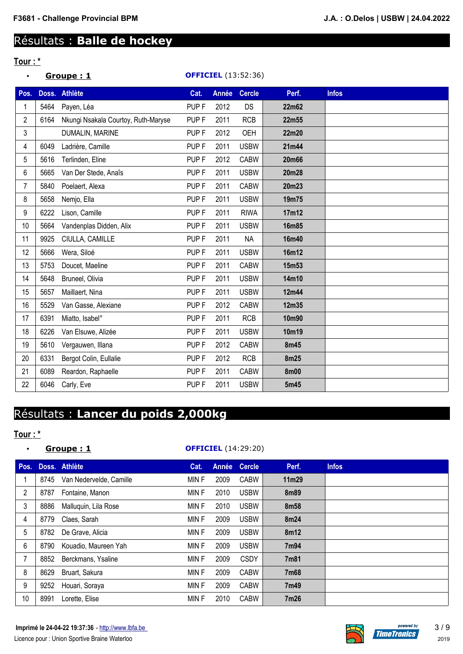# Résultats : **Balle de hockey**

## **Tour : \***

| $\bullet$      |      | Groupe: 1                           |                  |              | <b>OFFICIEL</b> (13:52:36) |             |              |
|----------------|------|-------------------------------------|------------------|--------------|----------------------------|-------------|--------------|
| Pos.           |      | Doss. Athlète                       | Cat.             | <b>Année</b> | <b>Cercle</b>              | Perf.       | <b>Infos</b> |
| 1              | 5464 | Payen, Léa                          | PUP <sub>F</sub> | 2012         | DS                         | 22m62       |              |
| $\overline{2}$ | 6164 | Nkungi Nsakala Courtoy, Ruth-Maryse | PUP <sub>F</sub> | 2011         | <b>RCB</b>                 | 22m55       |              |
| 3              |      | DUMALIN, MARINE                     | PUP <sub>F</sub> | 2012         | OEH                        | 22m20       |              |
| 4              | 6049 | Ladrière, Camille                   | PUP <sub>F</sub> | 2011         | <b>USBW</b>                | 21m44       |              |
| 5              | 5616 | Terlinden, Eline                    | PUP <sub>F</sub> | 2012         | <b>CABW</b>                | 20m66       |              |
| 6              | 5665 | Van Der Stede, Anaîs                | PUP <sub>F</sub> | 2011         | <b>USBW</b>                | 20m28       |              |
| 7              | 5840 | Poelaert, Alexa                     | PUP <sub>F</sub> | 2011         | <b>CABW</b>                | 20m23       |              |
| 8              | 5658 | Nemjo, Ella                         | PUP <sub>F</sub> | 2011         | <b>USBW</b>                | 19m75       |              |
| 9              | 6222 | Lison, Camille                      | PUP <sub>F</sub> | 2011         | <b>RIWA</b>                | 17m12       |              |
| 10             | 5664 | Vandenplas Didden, Alix             | PUP <sub>F</sub> | 2011         | <b>USBW</b>                | 16m85       |              |
| 11             | 9925 | CIULLA, CAMILLE                     | PUP <sub>F</sub> | 2011         | <b>NA</b>                  | 16m40       |              |
| 12             | 5666 | Wera, Siloé                         | PUP <sub>F</sub> | 2011         | <b>USBW</b>                | 16m12       |              |
| 13             | 5753 | Doucet, Maeline                     | PUP <sub>F</sub> | 2011         | <b>CABW</b>                | 15m53       |              |
| 14             | 5648 | Bruneel, Olivia                     | PUP <sub>F</sub> | 2011         | <b>USBW</b>                | 14m10       |              |
| 15             | 5657 | Maillaert, Nina                     | PUP <sub>F</sub> | 2011         | <b>USBW</b>                | 12m44       |              |
| 16             | 5529 | Van Gasse, Alexiane                 | PUP <sub>F</sub> | 2012         | <b>CABW</b>                | 12m35       |              |
| 17             | 6391 | Miatto, Isabel°                     | PUP <sub>F</sub> | 2011         | <b>RCB</b>                 | 10m90       |              |
| 18             | 6226 | Van Elsuwe, Alizée                  | PUP <sub>F</sub> | 2011         | <b>USBW</b>                | 10m19       |              |
| 19             | 5610 | Vergauwen, Illana                   | PUP <sub>F</sub> | 2012         | <b>CABW</b>                | 8m45        |              |
| 20             | 6331 | Bergot Colin, Eullalie              | PUP <sub>F</sub> | 2012         | <b>RCB</b>                 | 8m25        |              |
| 21             | 6089 | Reardon, Raphaelle                  | PUP <sub>F</sub> | 2011         | <b>CABW</b>                | <b>8m00</b> |              |
| 22             | 6046 | Carly, Eve                          | PUP <sub>F</sub> | 2011         | <b>USBW</b>                | 5m45        |              |

## Résultats : **Lancer du poids 2,000kg**

## **Tour : \***

| $\bullet$      | Groupe: 1 |                         |       |      | <b>OFFICIEL</b> (14:29:20) |             |              |
|----------------|-----------|-------------------------|-------|------|----------------------------|-------------|--------------|
| Pos.           |           | Doss. Athlète           | Cat.  |      | Année Cercle               | Perf.       | <b>Infos</b> |
| 1              | 8745      | Van Nedervelde, Camille | MIN F | 2009 | <b>CABW</b>                | 11m29       |              |
| $\overline{2}$ | 8787      | Fontaine, Manon         | MIN F | 2010 | <b>USBW</b>                | <b>8m89</b> |              |
| 3              | 8886      | Malluquin, Lila Rose    | MIN F | 2010 | <b>USBW</b>                | 8m58        |              |
| 4              | 8779      | Claes, Sarah            | MIN F | 2009 | <b>USBW</b>                | 8m24        |              |
| 5              | 8782      | De Grave, Alicia        | MIN F | 2009 | <b>USBW</b>                | 8m12        |              |
| 6              | 8790      | Kouadio, Maureen Yah    | MIN F | 2009 | <b>USBW</b>                | 7m94        |              |
| $\overline{7}$ | 8852      | Berckmans, Ysaline      | MIN F | 2009 | <b>CSDY</b>                | 7m81        |              |
| 8              | 8629      | Bruart, Sakura          | MIN F | 2009 | <b>CABW</b>                | 7m68        |              |
| 9              | 9252      | Houari, Soraya          | MIN F | 2009 | <b>CABW</b>                | 7m49        |              |
| 10             | 8991      | Lorette, Elise          | MIN F | 2010 | <b>CABW</b>                | 7m26        |              |

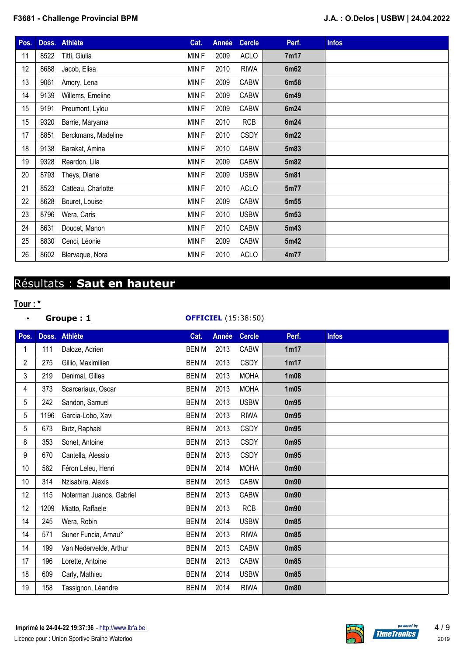### **F3681 - Challenge Provincial BPM J.A. : O.Delos | USBW | 24.04.2022**

| Pos. |      | Doss. Athlète       | Cat.  | Année | <b>Cercle</b> | Perf.            | <b>Infos</b> |
|------|------|---------------------|-------|-------|---------------|------------------|--------------|
| 11   | 8522 | Titti, Giulia       | MIN F | 2009  | <b>ACLO</b>   | 7m17             |              |
| 12   | 8688 | Jacob, Elisa        | MINF  | 2010  | <b>RIWA</b>   | 6m62             |              |
| 13   | 9061 | Amory, Lena         | MIN F | 2009  | <b>CABW</b>   | 6m58             |              |
| 14   | 9139 | Willems, Emeline    | MINF  | 2009  | <b>CABW</b>   | 6m49             |              |
| 15   | 9191 | Preumont, Lylou     | MIN F | 2009  | <b>CABW</b>   | 6m24             |              |
| 15   | 9320 | Barrie, Maryama     | MIN F | 2010  | <b>RCB</b>    | 6m24             |              |
| 17   | 8851 | Berckmans, Madeline | MINF  | 2010  | <b>CSDY</b>   | 6m22             |              |
| 18   | 9138 | Barakat, Amina      | MINF  | 2010  | <b>CABW</b>   | 5m83             |              |
| 19   | 9328 | Reardon, Lila       | MIN F | 2009  | <b>CABW</b>   | 5m82             |              |
| 20   | 8793 | Theys, Diane        | MIN F | 2009  | <b>USBW</b>   | 5m81             |              |
| 21   | 8523 | Catteau, Charlotte  | MIN F | 2010  | <b>ACLO</b>   | 5m77             |              |
| 22   | 8628 | Bouret, Louise      | MIN F | 2009  | <b>CABW</b>   | 5m55             |              |
| 23   | 8796 | Wera, Caris         | MIN F | 2010  | <b>USBW</b>   | 5m <sub>53</sub> |              |
| 24   | 8631 | Doucet, Manon       | MIN F | 2010  | <b>CABW</b>   | 5m43             |              |
| 25   | 8830 | Cenci, Léonie       | MIN F | 2009  | <b>CABW</b>   | 5m42             |              |
| 26   | 8602 | Blervaque, Nora     | MIN F | 2010  | <b>ACLO</b>   | 4m77             |              |

## Résultats : **Saut en hauteur**

## **Tour : \***

**•** Groupe : 1

| <b>OFFICIEL</b> (15:38:50) |  |
|----------------------------|--|
|----------------------------|--|

| Pos. | Doss. | <b>Athlète</b>           | Cat.         | Année | <b>Cercle</b> | Perf.             | <b>Infos</b> |
|------|-------|--------------------------|--------------|-------|---------------|-------------------|--------------|
|      | 111   | Daloze, Adrien           | <b>BENM</b>  | 2013  | <b>CABW</b>   | 1m17              |              |
| 2    | 275   | Gillio, Maximilien       | <b>BEN M</b> | 2013  | <b>CSDY</b>   | 1m17              |              |
| 3    | 219   | Denimal, Gilles          | <b>BEN M</b> | 2013  | <b>MOHA</b>   | 1 <sub>m</sub> 08 |              |
| 4    | 373   | Scarceriaux, Oscar       | <b>BENM</b>  | 2013  | <b>MOHA</b>   | 1 <sub>m05</sub>  |              |
| 5    | 242   | Sandon, Samuel           | <b>BENM</b>  | 2013  | <b>USBW</b>   | 0m95              |              |
| 5    | 1196  | Garcia-Lobo, Xavi        | <b>BENM</b>  | 2013  | <b>RIWA</b>   | 0m95              |              |
| 5    | 673   | Butz, Raphaël            | <b>BEN M</b> | 2013  | <b>CSDY</b>   | 0m95              |              |
| 8    | 353   | Sonet, Antoine           | <b>BENM</b>  | 2013  | <b>CSDY</b>   | 0 <sub>m</sub> 95 |              |
| 9    | 670   | Cantella, Alessio        | <b>BEN M</b> | 2013  | <b>CSDY</b>   | 0m95              |              |
| 10   | 562   | Féron Leleu, Henri       | <b>BENM</b>  | 2014  | <b>MOHA</b>   | 0 <sub>m90</sub>  |              |
| 10   | 314   | Nzisabira, Alexis        | <b>BENM</b>  | 2013  | <b>CABW</b>   | 0 <sub>m90</sub>  |              |
| 12   | 115   | Noterman Juanos, Gabriel | <b>BENM</b>  | 2013  | <b>CABW</b>   | 0 <sub>m</sub> 90 |              |
| 12   | 1209  | Miatto, Raffaele         | <b>BENM</b>  | 2013  | <b>RCB</b>    | 0 <sub>m90</sub>  |              |
| 14   | 245   | Wera, Robin              | <b>BENM</b>  | 2014  | <b>USBW</b>   | 0m85              |              |
| 14   | 571   | Suner Funcia, Arnau°     | <b>BENM</b>  | 2013  | <b>RIWA</b>   | 0m85              |              |
| 14   | 199   | Van Nedervelde, Arthur   | <b>BENM</b>  | 2013  | <b>CABW</b>   | 0m85              |              |
| 17   | 196   | Lorette, Antoine         | <b>BENM</b>  | 2013  | <b>CABW</b>   | 0m85              |              |
| 18   | 609   | Carly, Mathieu           | <b>BENM</b>  | 2014  | <b>USBW</b>   | 0m85              |              |
| 19   | 158   | Tassignon, Léandre       | <b>BENM</b>  | 2014  | <b>RIWA</b>   | 0m80              |              |

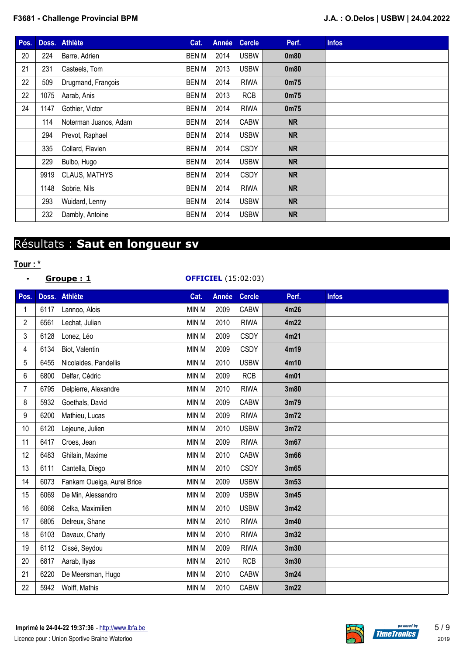| Pos. |      | Doss. Athlète         | Cat.         | Année | <b>Cercle</b> | Perf.             | <b>Infos</b> |
|------|------|-----------------------|--------------|-------|---------------|-------------------|--------------|
| 20   | 224  | Barre, Adrien         | BEN M        | 2014  | <b>USBW</b>   | 0m80              |              |
| 21   | 231  | Casteels, Tom         | <b>BEN M</b> | 2013  | <b>USBW</b>   | 0m80              |              |
| 22   | 509  | Drugmand, François    | BEN M        | 2014  | <b>RIWA</b>   | 0 <sub>m75</sub>  |              |
| 22   | 1075 | Aarab, Anis           | BEN M        | 2013  | <b>RCB</b>    | 0 <sub>m</sub> 75 |              |
| 24   | 1147 | Gothier, Victor       | BEN M        | 2014  | <b>RIWA</b>   | 0 <sub>m75</sub>  |              |
|      | 114  | Noterman Juanos, Adam | BEN M        | 2014  | <b>CABW</b>   | <b>NR</b>         |              |
|      | 294  | Prevot, Raphael       | BEN M        | 2014  | <b>USBW</b>   | <b>NR</b>         |              |
|      | 335  | Collard, Flavien      | <b>BEN M</b> | 2014  | <b>CSDY</b>   | <b>NR</b>         |              |
|      | 229  | Bulbo, Hugo           | BEN M        | 2014  | <b>USBW</b>   | <b>NR</b>         |              |
|      |      | 9919 CLAUS, MATHYS    | BEN M        | 2014  | <b>CSDY</b>   | <b>NR</b>         |              |
|      | 1148 | Sobrie, Nils          | <b>BEN M</b> | 2014  | <b>RIWA</b>   | <b>NR</b>         |              |
|      | 293  | Wuidard, Lenny        | BEN M        | 2014  | <b>USBW</b>   | <b>NR</b>         |              |
|      | 232  | Dambly, Antoine       | BEN M        | 2014  | <b>USBW</b>   | <b>NR</b>         |              |

## Résultats : **Saut en longueur sv**

## **Tour : \***

| <u>Groupe : 1</u> | <b>OFFICIEL</b> (15:02:03) |
|-------------------|----------------------------|
|                   |                            |

| Pos.           |      | Doss. Athlète              | Cat.         | <b>Année</b> | <b>Cercle</b> | Perf. | <b>Infos</b> |
|----------------|------|----------------------------|--------------|--------------|---------------|-------|--------------|
| 1              | 6117 | Lannoo, Alois              | MIN M        | 2009         | <b>CABW</b>   | 4m26  |              |
| $\overline{2}$ | 6561 | Lechat, Julian             | <b>MIN M</b> | 2010         | <b>RIWA</b>   | 4m22  |              |
| 3              | 6128 | Lonez, Léo                 | MIN M        | 2009         | <b>CSDY</b>   | 4m21  |              |
| 4              | 6134 | Biot, Valentin             | MIN M        | 2009         | <b>CSDY</b>   | 4m19  |              |
| 5              | 6455 | Nicolaides, Pandellis      | MIN M        | 2010         | <b>USBW</b>   | 4m10  |              |
| 6              | 6800 | Delfar, Cédric             | MIN M        | 2009         | <b>RCB</b>    | 4m01  |              |
| $\overline{7}$ | 6795 | Delpierre, Alexandre       | <b>MIN M</b> | 2010         | <b>RIWA</b>   | 3m80  |              |
| 8              | 5932 | Goethals, David            | MIN M        | 2009         | <b>CABW</b>   | 3m79  |              |
| 9              | 6200 | Mathieu, Lucas             | <b>MIN M</b> | 2009         | <b>RIWA</b>   | 3m72  |              |
| 10             | 6120 | Lejeune, Julien            | MIN M        | 2010         | <b>USBW</b>   | 3m72  |              |
| 11             | 6417 | Croes, Jean                | MIN M        | 2009         | <b>RIWA</b>   | 3m67  |              |
| 12             | 6483 | Ghilain, Maxime            | MIN M        | 2010         | <b>CABW</b>   | 3m66  |              |
| 13             | 6111 | Cantella, Diego            | MIN M        | 2010         | <b>CSDY</b>   | 3m65  |              |
| 14             | 6073 | Fankam Oueiga, Aurel Brice | MIN M        | 2009         | <b>USBW</b>   | 3m53  |              |
| 15             | 6069 | De Min, Alessandro         | MIN M        | 2009         | <b>USBW</b>   | 3m45  |              |
| 16             | 6066 | Celka, Maximilien          | MIN M        | 2010         | <b>USBW</b>   | 3m42  |              |
| 17             | 6805 | Delreux, Shane             | MIN M        | 2010         | <b>RIWA</b>   | 3m40  |              |
| 18             | 6103 | Davaux, Charly             | MIN M        | 2010         | <b>RIWA</b>   | 3m32  |              |
| 19             | 6112 | Cissé, Seydou              | MIN M        | 2009         | <b>RIWA</b>   | 3m30  |              |
| 20             | 6817 | Aarab, Ilyas               | MIN M        | 2010         | <b>RCB</b>    | 3m30  |              |
| 21             | 6220 | De Meersman, Hugo          | MIN M        | 2010         | <b>CABW</b>   | 3m24  |              |
| 22             | 5942 | Wolff, Mathis              | MIN M        | 2010         | <b>CABW</b>   | 3m22  |              |

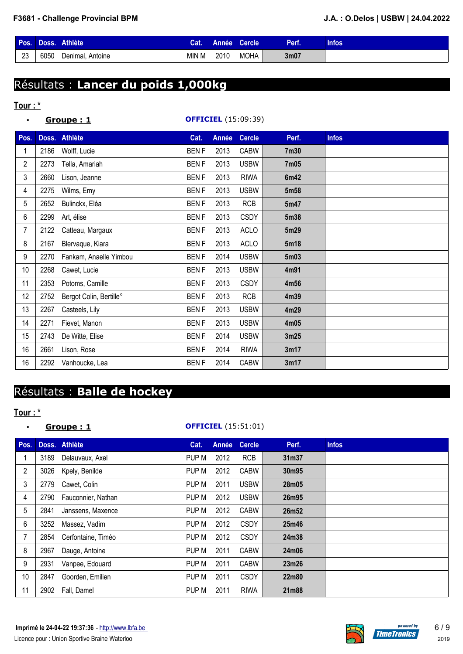| Pos. | Doss.' | <b>Athlète</b>        | .at.  | Année . | <b>Cercle</b> | Perf.            | <b>Infos</b> |
|------|--------|-----------------------|-------|---------|---------------|------------------|--------------|
| 23   | 6050   | Denimal.<br>. Antoine | MIN M | 2010    | <b>MOHA</b>   | 3 <sub>m07</sub> |              |

# Résultats : **Lancer du poids 1,000kg**

### **Tour : \***

| $\bullet$      |      | Groupe: 1               |             |       | <b>OFFICIEL</b> (15:09:39) |       |              |
|----------------|------|-------------------------|-------------|-------|----------------------------|-------|--------------|
| Pos.           |      | Doss. Athlète           | Cat.        | Année | <b>Cercle</b>              | Perf. | <b>Infos</b> |
| 1              | 2186 | Wolff, Lucie            | <b>BENF</b> | 2013  | <b>CABW</b>                | 7m30  |              |
| $\overline{2}$ | 2273 | Tella, Amariah          | <b>BENF</b> | 2013  | <b>USBW</b>                | 7m05  |              |
| 3              | 2660 | Lison, Jeanne           | <b>BENF</b> | 2013  | <b>RIWA</b>                | 6m42  |              |
| 4              | 2275 | Wilms, Emy              | <b>BENF</b> | 2013  | <b>USBW</b>                | 5m58  |              |
| 5              | 2652 | Bulinckx, Eléa          | <b>BENF</b> | 2013  | <b>RCB</b>                 | 5m47  |              |
| 6              | 2299 | Art, élise              | <b>BENF</b> | 2013  | <b>CSDY</b>                | 5m38  |              |
| 7              | 2122 | Catteau, Margaux        | <b>BENF</b> | 2013  | ACLO                       | 5m29  |              |
| 8              | 2167 | Blervaque, Kiara        | <b>BENF</b> | 2013  | <b>ACLO</b>                | 5m18  |              |
| 9              | 2270 | Fankam, Anaelle Yimbou  | <b>BENF</b> | 2014  | <b>USBW</b>                | 5m03  |              |
| 10             | 2268 | Cawet, Lucie            | <b>BENF</b> | 2013  | <b>USBW</b>                | 4m91  |              |
| 11             | 2353 | Potoms, Camille         | <b>BENF</b> | 2013  | <b>CSDY</b>                | 4m56  |              |
| 12             | 2752 | Bergot Colin, Bertille° | <b>BENF</b> | 2013  | <b>RCB</b>                 | 4m39  |              |
| 13             | 2267 | Casteels, Lily          | <b>BENF</b> | 2013  | <b>USBW</b>                | 4m29  |              |
| 14             | 2271 | Fievet, Manon           | <b>BENF</b> | 2013  | <b>USBW</b>                | 4m05  |              |
| 15             | 2743 | De Witte, Elise         | <b>BENF</b> | 2014  | <b>USBW</b>                | 3m25  |              |
| 16             | 2661 | Lison, Rose             | <b>BENF</b> | 2014  | <b>RIWA</b>                | 3m17  |              |
| 16             | 2292 | Vanhoucke, Lea          | <b>BENF</b> | 2014  | <b>CABW</b>                | 3m17  |              |

# Résultats : **Balle de hockey**

### **Tour : \***

### • **Groupe : 1 OFFICIEL** (15:51:01)

| Pos.           |      | Doss. Athlète      | Cat.  | Année | <b>Cercle</b> | Perf. | <b>Infos</b> |
|----------------|------|--------------------|-------|-------|---------------|-------|--------------|
|                | 3189 | Delauvaux, Axel    | PUP M | 2012  | <b>RCB</b>    | 31m37 |              |
| 2              | 3026 | Kpely, Benilde     | PUP M | 2012  | <b>CABW</b>   | 30m95 |              |
| 3              | 2779 | Cawet, Colin       | PUP M | 2011  | <b>USBW</b>   | 28m05 |              |
| 4              | 2790 | Fauconnier, Nathan | PUP M | 2012  | <b>USBW</b>   | 26m95 |              |
| 5              | 2841 | Janssens, Maxence  | PUP M | 2012  | <b>CABW</b>   | 26m52 |              |
| 6              | 3252 | Massez, Vadim      | PUP M | 2012  | <b>CSDY</b>   | 25m46 |              |
| $\overline{7}$ | 2854 | Cerfontaine, Timéo | PUP M | 2012  | <b>CSDY</b>   | 24m38 |              |
| 8              | 2967 | Dauge, Antoine     | PUP M | 2011  | <b>CABW</b>   | 24m06 |              |
| 9              | 2931 | Vanpee, Edouard    | PUP M | 2011  | <b>CABW</b>   | 23m26 |              |
| 10             | 2847 | Goorden, Emilien   | PUP M | 2011  | <b>CSDY</b>   | 22m80 |              |
| 11             | 2902 | Fall, Damel        | PUP M | 2011  | <b>RIWA</b>   | 21m88 |              |

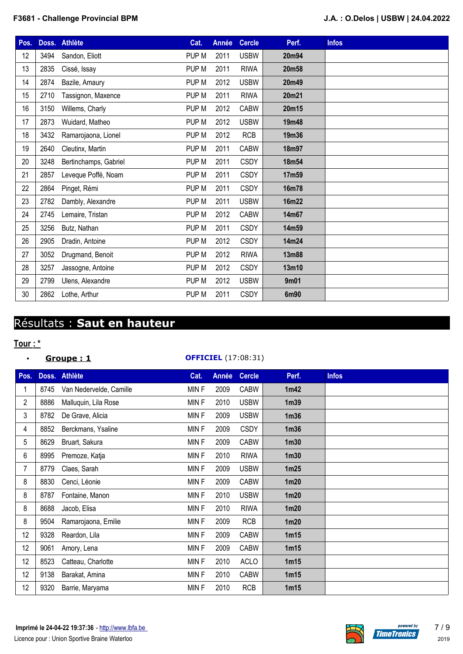| Pos. |      | Doss. Athlète         | Cat.             | Année | <b>Cercle</b> | Perf. | <b>Infos</b> |
|------|------|-----------------------|------------------|-------|---------------|-------|--------------|
| 12   | 3494 | Sandon, Eliott        | PUP M            | 2011  | <b>USBW</b>   | 20m94 |              |
| 13   | 2835 | Cissé, Issay          | PUP M            | 2011  | <b>RIWA</b>   | 20m58 |              |
| 14   | 2874 | Bazile, Amaury        | PUP M            | 2012  | <b>USBW</b>   | 20m49 |              |
| 15   | 2710 | Tassignon, Maxence    | PUP M            | 2011  | <b>RIWA</b>   | 20m21 |              |
| 16   | 3150 | Willems, Charly       | PUP M            | 2012  | <b>CABW</b>   | 20m15 |              |
| 17   | 2873 | Wuidard, Matheo       | PUP M            | 2012  | <b>USBW</b>   | 19m48 |              |
| 18   | 3432 | Ramarojaona, Lionel   | PUP M            | 2012  | <b>RCB</b>    | 19m36 |              |
| 19   | 2640 | Cleutinx, Martin      | PUP M            | 2011  | <b>CABW</b>   | 18m97 |              |
| 20   | 3248 | Bertinchamps, Gabriel | PUP M            | 2011  | <b>CSDY</b>   | 18m54 |              |
| 21   | 2857 | Leveque Poffé, Noam   | PUP M            | 2011  | <b>CSDY</b>   | 17m59 |              |
| 22   | 2864 | Pinget, Rémi          | PUP M            | 2011  | <b>CSDY</b>   | 16m78 |              |
| 23   | 2782 | Dambly, Alexandre     | PUP M            | 2011  | <b>USBW</b>   | 16m22 |              |
| 24   | 2745 | Lemaire, Tristan      | PUP <sub>M</sub> | 2012  | <b>CABW</b>   | 14m67 |              |
| 25   | 3256 | Butz, Nathan          | PUP M            | 2011  | <b>CSDY</b>   | 14m59 |              |
| 26   | 2905 | Dradin, Antoine       | PUP M            | 2012  | <b>CSDY</b>   | 14m24 |              |
| 27   | 3052 | Drugmand, Benoit      | PUP M            | 2012  | <b>RIWA</b>   | 13m88 |              |
| 28   | 3257 | Jassogne, Antoine     | PUP M            | 2012  | <b>CSDY</b>   | 13m10 |              |
| 29   | 2799 | Ulens, Alexandre      | PUP M            | 2012  | <b>USBW</b>   | 9m01  |              |
| 30   | 2862 | Lothe, Arthur         | PUP M            | 2011  | <b>CSDY</b>   | 6m90  |              |

## Résultats : **Saut en hauteur**

### **Tour : \***

### • **Groupe : 1 OFFICIEL** (17:08:31)

| Pos.           |      | Doss. Athlète           | Cat.  | <b>Année</b> | <b>Cercle</b> | Perf.            | <b>Infos</b> |
|----------------|------|-------------------------|-------|--------------|---------------|------------------|--------------|
|                | 8745 | Van Nedervelde, Camille | MINF  | 2009         | <b>CABW</b>   | 1m42             |              |
| $\overline{2}$ | 8886 | Malluquin, Lila Rose    | MINF  | 2010         | <b>USBW</b>   | 1 <sub>m39</sub> |              |
| 3              | 8782 | De Grave, Alicia        | MINF  | 2009         | <b>USBW</b>   | 1 <sub>m36</sub> |              |
| 4              | 8852 | Berckmans, Ysaline      | MINF  | 2009         | <b>CSDY</b>   | 1 <sub>m36</sub> |              |
| 5              | 8629 | Bruart, Sakura          | MINF  | 2009         | <b>CABW</b>   | 1 <sub>m30</sub> |              |
| 6              | 8995 | Premoze, Katja          | MINF  | 2010         | <b>RIWA</b>   | 1 <sub>m30</sub> |              |
| 7              | 8779 | Claes, Sarah            | MINF  | 2009         | <b>USBW</b>   | 1m25             |              |
| 8              | 8830 | Cenci, Léonie           | MINF  | 2009         | <b>CABW</b>   | 1m20             |              |
| 8              | 8787 | Fontaine, Manon         | MINF  | 2010         | <b>USBW</b>   | 1m20             |              |
| 8              | 8688 | Jacob, Elisa            | MINF  | 2010         | <b>RIWA</b>   | 1 <sub>m20</sub> |              |
| 8              | 9504 | Ramarojaona, Emilie     | MINF  | 2009         | <b>RCB</b>    | 1m20             |              |
| 12             | 9328 | Reardon, Lila           | MINF  | 2009         | <b>CABW</b>   | 1m15             |              |
| 12             | 9061 | Amory, Lena             | MIN F | 2009         | <b>CABW</b>   | 1m15             |              |
| 12             | 8523 | Catteau, Charlotte      | MIN F | 2010         | <b>ACLO</b>   | 1m15             |              |
| 12             | 9138 | Barakat, Amina          | MINF  | 2010         | <b>CABW</b>   | 1m15             |              |
| 12             | 9320 | Barrie, Maryama         | MINF  | 2010         | <b>RCB</b>    | 1m15             |              |

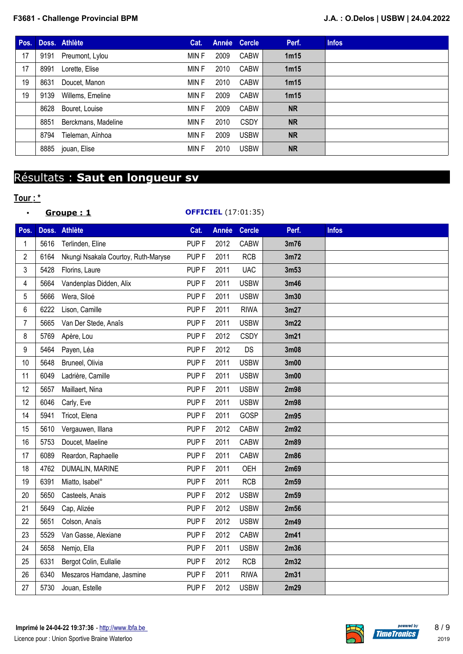| Pos. |      | Doss. Athlète       | Cat.  |      | Année Cercle | Perf.            | <b>Infos</b> |
|------|------|---------------------|-------|------|--------------|------------------|--------------|
| 17   | 9191 | Preumont, Lylou     | MIN F | 2009 | <b>CABW</b>  | 1 <sub>m15</sub> |              |
| 17   | 8991 | Lorette, Elise      | MIN F | 2010 | <b>CABW</b>  | 1 <sub>m15</sub> |              |
| 19   | 8631 | Doucet, Manon       | MIN F | 2010 | <b>CABW</b>  | 1 <sub>m15</sub> |              |
| 19   | 9139 | Willems, Emeline    | MIN F | 2009 | <b>CABW</b>  | 1m15             |              |
|      | 8628 | Bouret, Louise      | MIN F | 2009 | <b>CABW</b>  | <b>NR</b>        |              |
|      | 8851 | Berckmans, Madeline | MIN F | 2010 | <b>CSDY</b>  | <b>NR</b>        |              |
|      | 8794 | Tieleman, Aïnhoa    | MIN F | 2009 | <b>USBW</b>  | <b>NR</b>        |              |
|      | 8885 | jouan, Elise        | MIN F | 2010 | <b>USBW</b>  | <b>NR</b>        |              |

# Résultats : **Saut en longueur sv**

## **Tour : \***

• Groupe : 1

| <b>OFFICIEL</b> (17:01:35) |  |
|----------------------------|--|
|----------------------------|--|

| Pos.           |      | Doss. Athlète                       | Cat.             | <b>Année</b> | <b>Cercle</b> | Perf.             | <b>Infos</b> |
|----------------|------|-------------------------------------|------------------|--------------|---------------|-------------------|--------------|
| 1              | 5616 | Terlinden, Eline                    | PUP <sub>F</sub> | 2012         | <b>CABW</b>   | 3m76              |              |
| $\overline{2}$ | 6164 | Nkungi Nsakala Courtoy, Ruth-Maryse | PUP <sub>F</sub> | 2011         | <b>RCB</b>    | 3m72              |              |
| 3              | 5428 | Florins, Laure                      | PUP <sub>F</sub> | 2011         | <b>UAC</b>    | 3m53              |              |
| 4              | 5664 | Vandenplas Didden, Alix             | PUP <sub>F</sub> | 2011         | <b>USBW</b>   | 3m46              |              |
| 5              | 5666 | Wera, Siloé                         | PUP <sub>F</sub> | 2011         | <b>USBW</b>   | 3m30              |              |
| 6              | 6222 | Lison, Camille                      | PUP <sub>F</sub> | 2011         | <b>RIWA</b>   | 3m27              |              |
| 7              | 5665 | Van Der Stede, Anaîs                | PUP <sub>F</sub> | 2011         | <b>USBW</b>   | 3m22              |              |
| 8              | 5769 | Apère, Lou                          | PUP <sub>F</sub> | 2012         | <b>CSDY</b>   | 3m21              |              |
| 9              | 5464 | Payen, Léa                          | PUP <sub>F</sub> | 2012         | DS            | 3m08              |              |
| 10             | 5648 | Bruneel, Olivia                     | PUP <sub>F</sub> | 2011         | <b>USBW</b>   | 3 <sub>m</sub> 00 |              |
| 11             | 6049 | Ladrière, Camille                   | PUP <sub>F</sub> | 2011         | <b>USBW</b>   | 3m00              |              |
| 12             | 5657 | Maillaert, Nina                     | PUP <sub>F</sub> | 2011         | <b>USBW</b>   | 2m98              |              |
| 12             | 6046 | Carly, Eve                          | PUP <sub>F</sub> | 2011         | <b>USBW</b>   | 2m98              |              |
| 14             | 5941 | Tricot, Elena                       | PUP <sub>F</sub> | 2011         | GOSP          | 2m95              |              |
| 15             | 5610 | Vergauwen, Illana                   | PUP <sub>F</sub> | 2012         | <b>CABW</b>   | 2m92              |              |
| 16             | 5753 | Doucet, Maeline                     | PUP <sub>F</sub> | 2011         | <b>CABW</b>   | 2m89              |              |
| 17             | 6089 | Reardon, Raphaelle                  | PUP <sub>F</sub> | 2011         | <b>CABW</b>   | 2m86              |              |
| 18             | 4762 | DUMALIN, MARINE                     | PUP <sub>F</sub> | 2011         | <b>OEH</b>    | 2m69              |              |
| 19             | 6391 | Miatto, Isabel°                     | PUP <sub>F</sub> | 2011         | <b>RCB</b>    | 2m59              |              |
| 20             | 5650 | Casteels, Anais                     | PUP <sub>F</sub> | 2012         | <b>USBW</b>   | 2m59              |              |
| 21             | 5649 | Cap, Alizée                         | PUP <sub>F</sub> | 2012         | <b>USBW</b>   | 2m56              |              |
| 22             | 5651 | Colson, Anaïs                       | PUP <sub>F</sub> | 2012         | <b>USBW</b>   | 2m49              |              |
| 23             | 5529 | Van Gasse, Alexiane                 | PUP <sub>F</sub> | 2012         | <b>CABW</b>   | 2m41              |              |
| 24             | 5658 | Nemjo, Ella                         | PUP <sub>F</sub> | 2011         | <b>USBW</b>   | 2m36              |              |
| 25             | 6331 | Bergot Colin, Eullalie              | PUP <sub>F</sub> | 2012         | <b>RCB</b>    | 2m32              |              |
| 26             | 6340 | Meszaros Hamdane, Jasmine           | PUP <sub>F</sub> | 2011         | <b>RIWA</b>   | 2m31              |              |
| 27             | 5730 | Jouan, Estelle                      | PUP <sub>F</sub> | 2012         | <b>USBW</b>   | 2m29              |              |